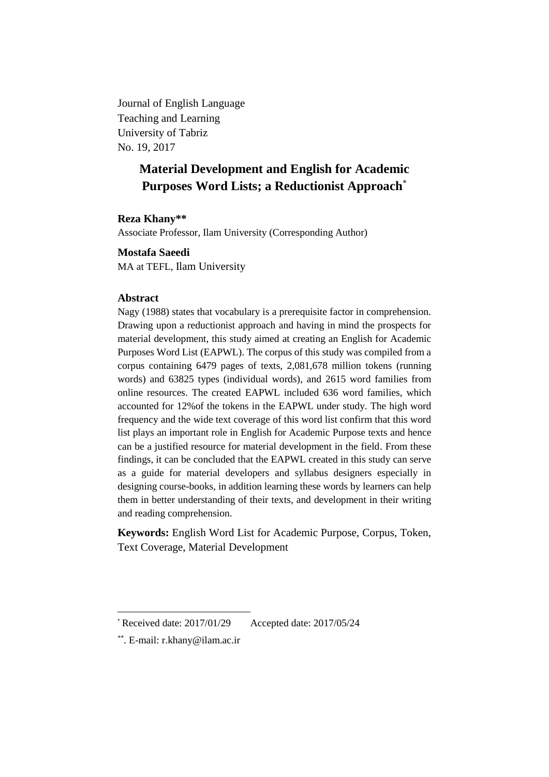Journal of English Language Teaching and Learning University of Tabriz No. 19, 2017

# **Material Development and English for Academic Purposes Word Lists; a Reductionist Approach\***

# **Reza Khany\*\***

Associate Professor, Ilam University (Corresponding Author)

**Mostafa Saeedi**

MA at TEFL, Ilam University

### **Abstract**

Nagy (1988) states that vocabulary is a prerequisite factor in comprehension. Drawing upon a reductionist approach and having in mind the prospects for material development, this study aimed at creating an English for Academic Purposes Word List (EAPWL). The corpus of this study was compiled from a corpus containing 6479 pages of texts, 2,081,678 million tokens (running words) and 63825 types (individual words), and 2615 word families from online resources. The created EAPWL included 636 word families, which accounted for 12%of the tokens in the EAPWL under study. The high word frequency and the wide text coverage of this word list confirm that this word list plays an important role in English for Academic Purpose texts and hence can be a justified resource for material development in the field. From these findings, it can be concluded that the EAPWL created in this study can serve as a guide for material developers and syllabus designers especially in designing course-books, in addition learning these words by learners can help them in better understanding of their texts, and development in their writing and reading comprehension.

**Keywords:** English Word List for Academic Purpose, Corpus, Token, Text Coverage, Material Development

1

 $*$  Received date: 2017/01/29 Accepted date: 2017/05/24

<sup>\*\*</sup> . E-mail: [r.khany@ilam.ac.ir](mailto:r.khany@ilam.ac.ir)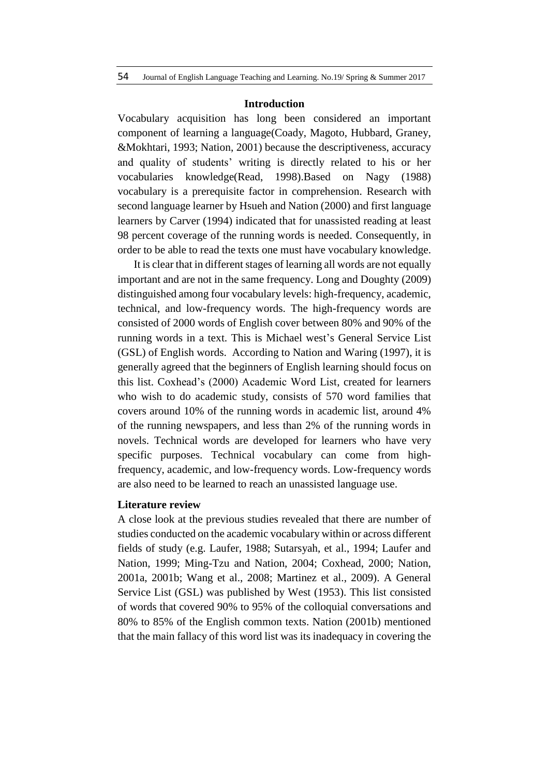#### **Introduction**

Vocabulary acquisition has long been considered an important component of learning a language(Coady, Magoto, Hubbard, Graney, &Mokhtari, 1993; Nation, 2001) because the descriptiveness, accuracy and quality of students' writing is directly related to his or her vocabularies knowledge(Read, 1998).Based on Nagy (1988) vocabulary is a prerequisite factor in comprehension. Research with second language learner by Hsueh and Nation (2000) and first language learners by Carver (1994) indicated that for unassisted reading at least 98 percent coverage of the running words is needed. Consequently, in order to be able to read the texts one must have vocabulary knowledge.

It is clear that in different stages of learning all words are not equally important and are not in the same frequency. Long and Doughty (2009) distinguished among four vocabulary levels: high-frequency, academic, technical, and low-frequency words. The high-frequency words are consisted of 2000 words of English cover between 80% and 90% of the running words in a text. This is Michael west's General Service List (GSL) of English words. According to Nation and Waring (1997), it is generally agreed that the beginners of English learning should focus on this list. Coxhead's (2000) Academic Word List, created for learners who wish to do academic study, consists of 570 word families that covers around 10% of the running words in academic list, around 4% of the running newspapers, and less than 2% of the running words in novels. Technical words are developed for learners who have very specific purposes. Technical vocabulary can come from highfrequency, academic, and low-frequency words. Low-frequency words are also need to be learned to reach an unassisted language use.

### **Literature review**

A close look at the previous studies revealed that there are number of studies conducted on the academic vocabulary within or across different fields of study (e.g. Laufer, 1988; Sutarsyah, et al., 1994; Laufer and Nation, 1999; Ming-Tzu and Nation, 2004; Coxhead, 2000; Nation, 2001a, 2001b; Wang et al., 2008; Martinez et al., 2009). A General Service List (GSL) was published by West (1953). This list consisted of words that covered 90% to 95% of the colloquial conversations and 80% to 85% of the English common texts. Nation (2001b) mentioned that the main fallacy of this word list was its inadequacy in covering the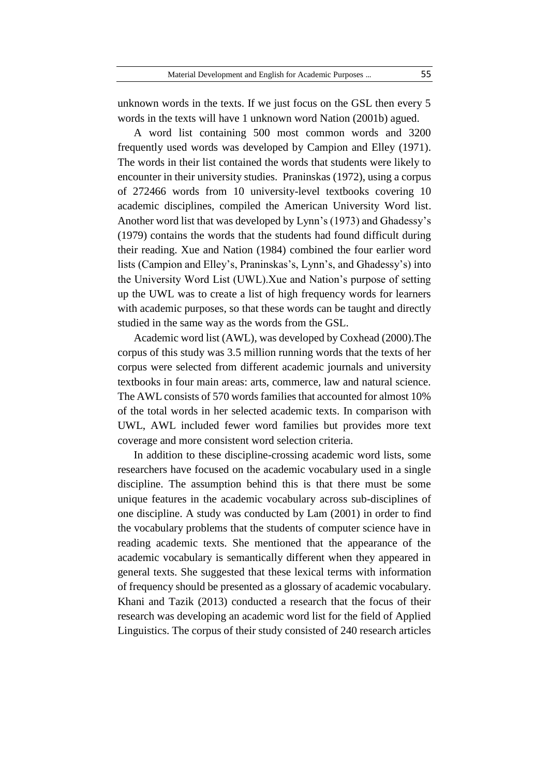unknown words in the texts. If we just focus on the GSL then every 5 words in the texts will have 1 unknown word Nation (2001b) agued.

A word list containing 500 most common words and 3200 frequently used words was developed by Campion and Elley (1971). The words in their list contained the words that students were likely to encounter in their university studies. Praninskas (1972), using a corpus of 272466 words from 10 university-level textbooks covering 10 academic disciplines, compiled the American University Word list. Another word list that was developed by Lynn's (1973) and Ghadessy's (1979) contains the words that the students had found difficult during their reading. Xue and Nation (1984) combined the four earlier word lists (Campion and Elley's, Praninskas's, Lynn's, and Ghadessy's) into the University Word List (UWL).Xue and Nation's purpose of setting up the UWL was to create a list of high frequency words for learners with academic purposes, so that these words can be taught and directly studied in the same way as the words from the GSL.

Academic word list (AWL), was developed by Coxhead (2000).The corpus of this study was 3.5 million running words that the texts of her corpus were selected from different academic journals and university textbooks in four main areas: arts, commerce, law and natural science. The AWL consists of 570 words families that accounted for almost 10% of the total words in her selected academic texts. In comparison with UWL, AWL included fewer word families but provides more text coverage and more consistent word selection criteria.

In addition to these discipline-crossing academic word lists, some researchers have focused on the academic vocabulary used in a single discipline. The assumption behind this is that there must be some unique features in the academic vocabulary across sub-disciplines of one discipline. A study was conducted by Lam (2001) in order to find the vocabulary problems that the students of computer science have in reading academic texts. She mentioned that the appearance of the academic vocabulary is semantically different when they appeared in general texts. She suggested that these lexical terms with information of frequency should be presented as a glossary of academic vocabulary. Khani and Tazik (2013) conducted a research that the focus of their research was developing an academic word list for the field of Applied Linguistics. The corpus of their study consisted of 240 research articles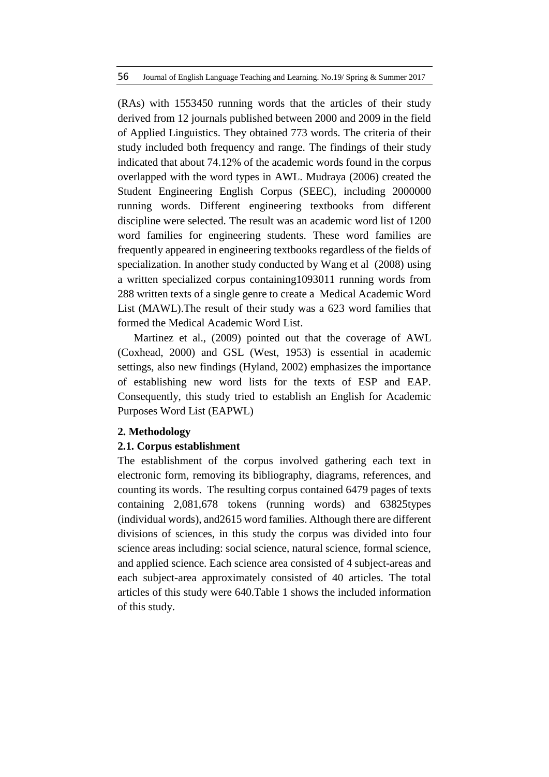(RAs) with 1553450 running words that the articles of their study derived from 12 journals published between 2000 and 2009 in the field of Applied Linguistics. They obtained 773 words. The criteria of their study included both frequency and range. The findings of their study indicated that about 74.12% of the academic words found in the corpus overlapped with the word types in AWL. Mudraya (2006) created the Student Engineering English Corpus (SEEC), including 2000000 running words. Different engineering textbooks from different discipline were selected. The result was an academic word list of 1200 word families for engineering students. These word families are frequently appeared in engineering textbooks regardless of the fields of specialization. In another study conducted by Wang et al (2008) using a written specialized corpus containing1093011 running words from 288 written texts of a single genre to create a Medical Academic Word List (MAWL).The result of their study was a 623 word families that formed the Medical Academic Word List.

Martinez et al., (2009) pointed out that the coverage of AWL (Coxhead, 2000) and GSL (West, 1953) is essential in academic settings, also new findings (Hyland, 2002) emphasizes the importance of establishing new word lists for the texts of ESP and EAP. Consequently, this study tried to establish an English for Academic Purposes Word List (EAPWL)

### **2. Methodology**

# **2.1. Corpus establishment**

The establishment of the corpus involved gathering each text in electronic form, removing its bibliography, diagrams, references, and counting its words. The resulting corpus contained 6479 pages of texts containing 2,081,678 tokens (running words) and 63825types (individual words), and2615 word families. Although there are different divisions of sciences, in this study the corpus was divided into four science areas including: social science, natural science, formal science, and applied science. Each science area consisted of 4 subject-areas and each subject-area approximately consisted of 40 articles. The total articles of this study were 640.Table 1 shows the included information of this study.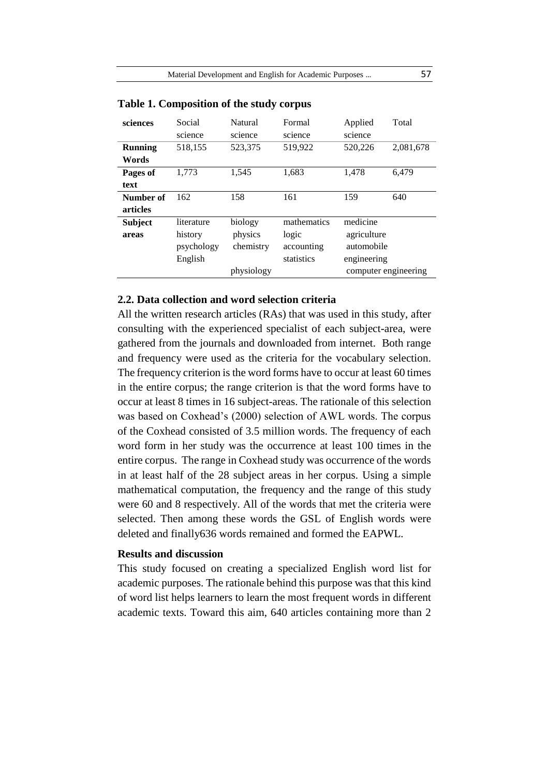| sciences       | Social     | Natural    | Formal      | Applied     | Total                |
|----------------|------------|------------|-------------|-------------|----------------------|
|                | science    | science    | science     | science     |                      |
| <b>Running</b> | 518,155    | 523,375    | 519,922     | 520,226     | 2,081,678            |
| Words          |            |            |             |             |                      |
| Pages of       | 1,773      | 1,545      | 1,683       | 1,478       | 6,479                |
| text           |            |            |             |             |                      |
| Number of      | 162        | 158        | 161         | 159         | 640                  |
| articles       |            |            |             |             |                      |
| <b>Subject</b> | literature | biology    | mathematics | medicine    |                      |
| areas          | history    | physics    | logic       | agriculture |                      |
|                | psychology | chemistry  | accounting  | automobile  |                      |
|                | English    |            | statistics  | engineering |                      |
|                |            | physiology |             |             | computer engineering |

#### **Table 1. Composition of the study corpus**

# **2.2. Data collection and word selection criteria**

All the written research articles (RAs) that was used in this study, after consulting with the experienced specialist of each subject-area, were gathered from the journals and downloaded from internet. Both range and frequency were used as the criteria for the vocabulary selection. The frequency criterion is the word forms have to occur at least 60 times in the entire corpus; the range criterion is that the word forms have to occur at least 8 times in 16 subject-areas. The rationale of this selection was based on Coxhead's (2000) selection of AWL words. The corpus of the Coxhead consisted of 3.5 million words. The frequency of each word form in her study was the occurrence at least 100 times in the entire corpus. The range in Coxhead study was occurrence of the words in at least half of the 28 subject areas in her corpus. Using a simple mathematical computation, the frequency and the range of this study were 60 and 8 respectively. All of the words that met the criteria were selected. Then among these words the GSL of English words were deleted and finally636 words remained and formed the EAPWL.

### **Results and discussion**

This study focused on creating a specialized English word list for academic purposes. The rationale behind this purpose was that this kind of word list helps learners to learn the most frequent words in different academic texts. Toward this aim, 640 articles containing more than 2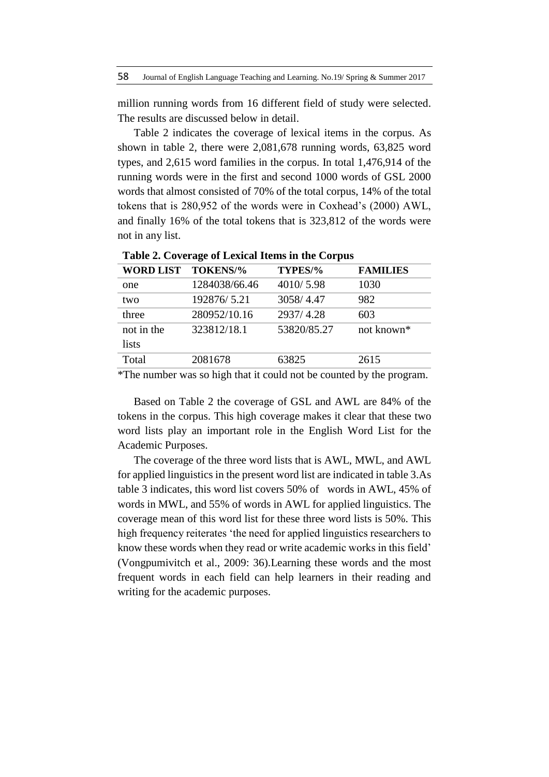million running words from 16 different field of study were selected. The results are discussed below in detail.

Table 2 indicates the coverage of lexical items in the corpus. As shown in table 2, there were 2,081,678 running words, 63,825 word types, and 2,615 word families in the corpus. In total 1,476,914 of the running words were in the first and second 1000 words of GSL 2000 words that almost consisted of 70% of the total corpus, 14% of the total tokens that is 280,952 of the words were in Coxhead's (2000) AWL, and finally 16% of the total tokens that is 323,812 of the words were not in any list.

| <b>WORD LIST</b> | TOKENS/%      | TYPES/%     | <b>FAMILIES</b> |
|------------------|---------------|-------------|-----------------|
| one              | 1284038/66.46 | 4010/5.98   | 1030            |
| two              | 192876/5.21   | 3058/4.47   | 982             |
| three            | 280952/10.16  | 2937/4.28   | 603             |
| not in the       | 323812/18.1   | 53820/85.27 | not known*      |
| lists            |               |             |                 |
| Total            | 2081678       | 63825       | 2615            |

**Table 2. Coverage of Lexical Items in the Corpus**

\*The number was so high that it could not be counted by the program.

Based on Table 2 the coverage of GSL and AWL are 84% of the tokens in the corpus. This high coverage makes it clear that these two word lists play an important role in the English Word List for the Academic Purposes.

The coverage of the three word lists that is AWL, MWL, and AWL for applied linguistics in the present word list are indicated in table 3.As table 3 indicates, this word list covers 50% of words in AWL, 45% of words in MWL, and 55% of words in AWL for applied linguistics. The coverage mean of this word list for these three word lists is 50%. This high frequency reiterates 'the need for applied linguistics researchers to know these words when they read or write academic works in this field' (Vongpumivitch et al., 2009: 36).Learning these words and the most frequent words in each field can help learners in their reading and writing for the academic purposes.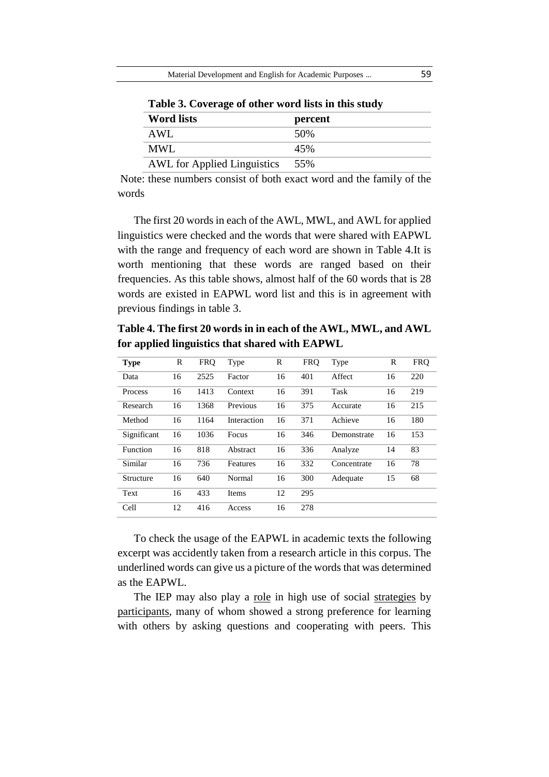| $\frac{1}{2}$ and $\frac{1}{2}$ . The state of output $\frac{1}{2}$ and $\frac{1}{2}$ and $\frac{1}{2}$ and $\frac{1}{2}$ |         |
|---------------------------------------------------------------------------------------------------------------------------|---------|
| <b>Word lists</b>                                                                                                         | percent |
| AWL                                                                                                                       | 50%     |
| MWL                                                                                                                       | 45%     |
| <b>AWL</b> for Applied Linguistics                                                                                        | 55%     |

**Table 3. Coverage of other word lists in this study**

Note: these numbers consist of both exact word and the family of the words

The first 20 words in each of the AWL, MWL, and AWL for applied linguistics were checked and the words that were shared with EAPWL with the range and frequency of each word are shown in Table 4.It is worth mentioning that these words are ranged based on their frequencies. As this table shows, almost half of the 60 words that is 28 words are existed in EAPWL word list and this is in agreement with previous findings in table 3.

**Table 4. The first 20 words in in each of the AWL, MWL, and AWL for applied linguistics that shared with EAPWL**

| <b>Type</b> | R  | <b>FRQ</b> | Type        | R  | <b>FRQ</b> | Type        | R  | <b>FRO</b> |
|-------------|----|------------|-------------|----|------------|-------------|----|------------|
| Data        | 16 | 2525       | Factor      | 16 | 401        | Affect      | 16 | 220        |
| Process     | 16 | 1413       | Context     | 16 | 391        | Task        | 16 | 219        |
| Research    | 16 | 1368       | Previous    | 16 | 375        | Accurate    | 16 | 215        |
| Method      | 16 | 1164       | Interaction | 16 | 371        | Achieve     | 16 | 180        |
| Significant | 16 | 1036       | Focus       | 16 | 346        | Demonstrate | 16 | 153        |
| Function    | 16 | 818        | Abstract    | 16 | 336        | Analyze     | 14 | 83         |
| Similar     | 16 | 736        | Features    | 16 | 332        | Concentrate | 16 | 78         |
| Structure   | 16 | 640        | Normal      | 16 | 300        | Adequate    | 15 | 68         |
| Text        | 16 | 433        | Items       | 12 | 295        |             |    |            |
| Cell        | 12 | 416        | Access      | 16 | 278        |             |    |            |

To check the usage of the EAPWL in academic texts the following excerpt was accidently taken from a research article in this corpus. The underlined words can give us a picture of the words that was determined as the EAPWL.

The IEP may also play a <u>role</u> in high use of social strategies by participants, many of whom showed a strong preference for learning with others by asking questions and cooperating with peers. This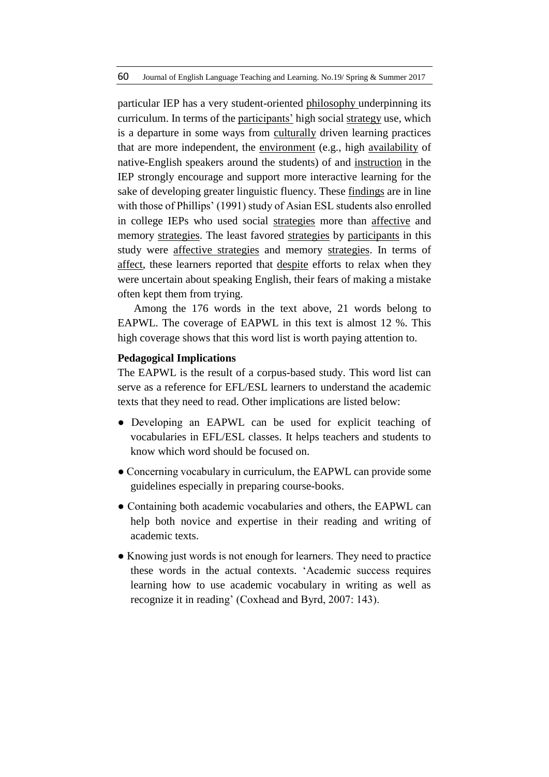particular IEP has a very student-oriented philosophy underpinning its curriculum. In terms of the participants' high social strategy use, which is a departure in some ways from culturally driven learning practices that are more independent, the environment (e.g., high availability of native-English speakers around the students) of and instruction in the IEP strongly encourage and support more interactive learning for the sake of developing greater linguistic fluency. These findings are in line with those of Phillips' (1991) study of Asian ESL students also enrolled in college IEPs who used social strategies more than affective and memory strategies. The least favored strategies by participants in this study were affective strategies and memory strategies. In terms of affect, these learners reported that despite efforts to relax when they were uncertain about speaking English, their fears of making a mistake often kept them from trying.

Among the 176 words in the text above, 21 words belong to EAPWL. The coverage of EAPWL in this text is almost 12 %. This high coverage shows that this word list is worth paying attention to.

### **Pedagogical Implications**

The EAPWL is the result of a corpus-based study. This word list can serve as a reference for EFL/ESL learners to understand the academic texts that they need to read. Other implications are listed below:

- Developing an EAPWL can be used for explicit teaching of vocabularies in EFL/ESL classes. It helps teachers and students to know which word should be focused on.
- Concerning vocabulary in curriculum, the EAPWL can provide some guidelines especially in preparing course-books.
- Containing both academic vocabularies and others, the EAPWL can help both novice and expertise in their reading and writing of academic texts.
- Knowing just words is not enough for learners. They need to practice these words in the actual contexts. 'Academic success requires learning how to use academic vocabulary in writing as well as recognize it in reading' (Coxhead and Byrd, 2007: 143).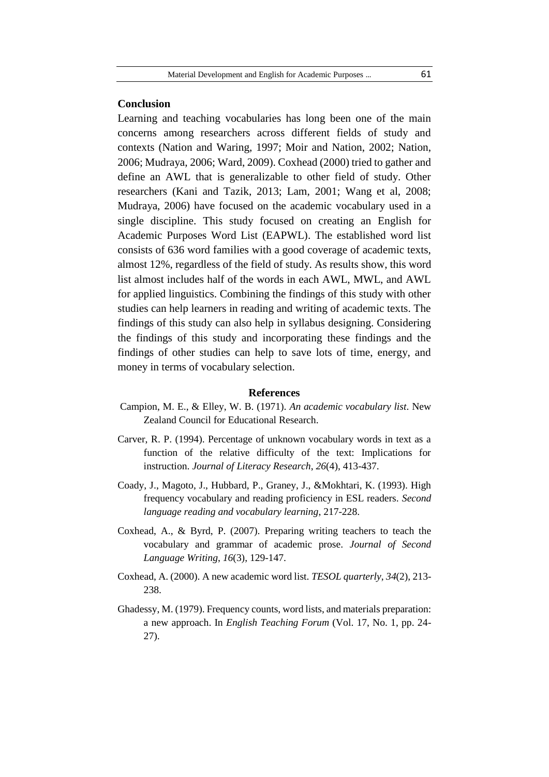#### **Conclusion**

Learning and teaching vocabularies has long been one of the main concerns among researchers across different fields of study and contexts (Nation and Waring, 1997; Moir and Nation, 2002; Nation, 2006; Mudraya, 2006; Ward, 2009). Coxhead (2000) tried to gather and define an AWL that is generalizable to other field of study. Other researchers (Kani and Tazik, 2013; Lam, 2001; Wang et al, 2008; Mudraya, 2006) have focused on the academic vocabulary used in a single discipline. This study focused on creating an English for Academic Purposes Word List (EAPWL). The established word list consists of 636 word families with a good coverage of academic texts, almost 12%, regardless of the field of study. As results show, this word list almost includes half of the words in each AWL, MWL, and AWL for applied linguistics. Combining the findings of this study with other studies can help learners in reading and writing of academic texts. The findings of this study can also help in syllabus designing. Considering the findings of this study and incorporating these findings and the findings of other studies can help to save lots of time, energy, and money in terms of vocabulary selection.

#### **References**

- Campion, M. E., & Elley, W. B. (1971). *An academic vocabulary list*. New Zealand Council for Educational Research.
- Carver, R. P. (1994). Percentage of unknown vocabulary words in text as a function of the relative difficulty of the text: Implications for instruction. *Journal of Literacy Research*, *26*(4), 413-437.
- Coady, J., Magoto, J., Hubbard, P., Graney, J., &Mokhtari, K. (1993). High frequency vocabulary and reading proficiency in ESL readers. *Second language reading and vocabulary learning*, 217-228.
- Coxhead, A., & Byrd, P. (2007). Preparing writing teachers to teach the vocabulary and grammar of academic prose. *Journal of Second Language Writing*, *16*(3), 129-147.
- Coxhead, A. (2000). A new academic word list. *TESOL quarterly*, *34*(2), 213- 238.
- Ghadessy, M. (1979). Frequency counts, word lists, and materials preparation: a new approach. In *English Teaching Forum* (Vol. 17, No. 1, pp. 24- 27).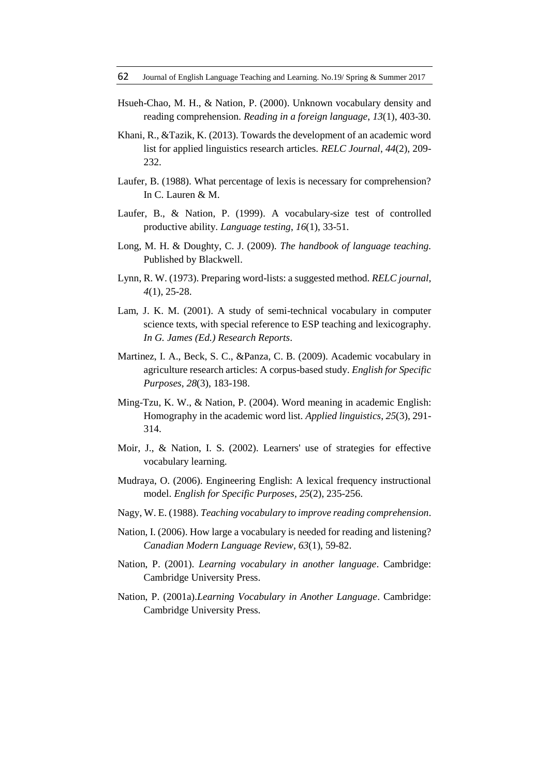- Hsueh-Chao, M. H., & Nation, P. (2000). Unknown vocabulary density and reading comprehension. *Reading in a foreign language*, *13*(1), 403-30.
- Khani, R., &Tazik, K. (2013). Towards the development of an academic word list for applied linguistics research articles. *RELC Journal*, *44*(2), 209- 232.
- Laufer, B. (1988). What percentage of lexis is necessary for comprehension? In C. Lauren & M.
- Laufer, B., & Nation, P. (1999). A vocabulary-size test of controlled productive ability. *Language testing*, *16*(1), 33-51.
- Long, M. H. & Doughty, C. J. (2009). *The handbook of language teaching.* Published by Blackwell.
- Lynn, R. W. (1973). Preparing word-lists: a suggested method. *RELC journal*, *4*(1), 25-28.
- Lam, J. K. M. (2001). A study of semi-technical vocabulary in computer science texts, with special reference to ESP teaching and lexicography. *In G. James (Ed.) Research Reports*.
- Martinez, I. A., Beck, S. C., &Panza, C. B. (2009). Academic vocabulary in agriculture research articles: A corpus-based study. *English for Specific Purposes*, *28*(3), 183-198.
- Ming-Tzu, K. W., & Nation, P. (2004). Word meaning in academic English: Homography in the academic word list. *Applied linguistics*, *25*(3), 291- 314.
- Moir, J., & Nation, I. S. (2002). Learners' use of strategies for effective vocabulary learning.
- Mudraya, O. (2006). Engineering English: A lexical frequency instructional model. *English for Specific Purposes*, *25*(2), 235-256.
- Nagy, W. E. (1988). *Teaching vocabulary to improve reading comprehension*.
- Nation, I. (2006). How large a vocabulary is needed for reading and listening? *Canadian Modern Language Review*, *63*(1), 59-82.
- Nation, P. (2001). *Learning vocabulary in another language*. Cambridge: Cambridge University Press.
- Nation, P. (2001a).*Learning Vocabulary in Another Language*. Cambridge: Cambridge University Press.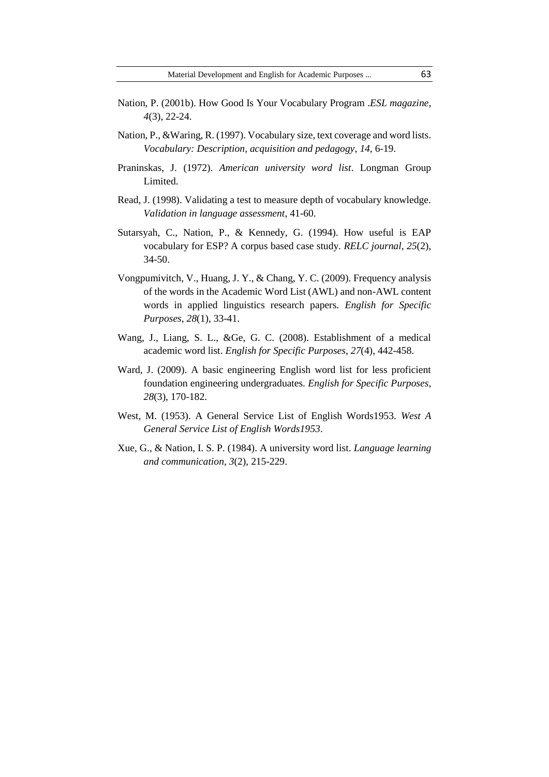- Nation, P. (2001b). How Good Is Your Vocabulary Program .*ESL magazine*, *4*(3), 22-24.
- Nation, P., &Waring, R. (1997). Vocabulary size, text coverage and word lists. *Vocabulary: Description, acquisition and pedagogy*, *14*, 6-19.
- Praninskas, J. (1972). *American university word list*. Longman Group Limited.
- Read, J. (1998). Validating a test to measure depth of vocabulary knowledge. *Validation in language assessment*, 41-60.
- Sutarsyah, C., Nation, P., & Kennedy, G. (1994). How useful is EAP vocabulary for ESP? A corpus based case study. *RELC journal*, *25*(2), 34-50.
- Vongpumivitch, V., Huang, J. Y., & Chang, Y. C. (2009). Frequency analysis of the words in the Academic Word List (AWL) and non-AWL content words in applied linguistics research papers. *English for Specific Purposes*, *28*(1), 33-41.
- Wang, J., Liang, S. L., &Ge, G. C. (2008). Establishment of a medical academic word list. *English for Specific Purposes*, *27*(4), 442-458.
- Ward, J. (2009). A basic engineering English word list for less proficient foundation engineering undergraduates. *English for Specific Purposes*, *28*(3), 170-182.
- West, M. (1953). A General Service List of English Words1953. *West A General Service List of English Words1953*.
- Xue, G., & Nation, I. S. P. (1984). A university word list. *Language learning and communication*, *3*(2), 215-229.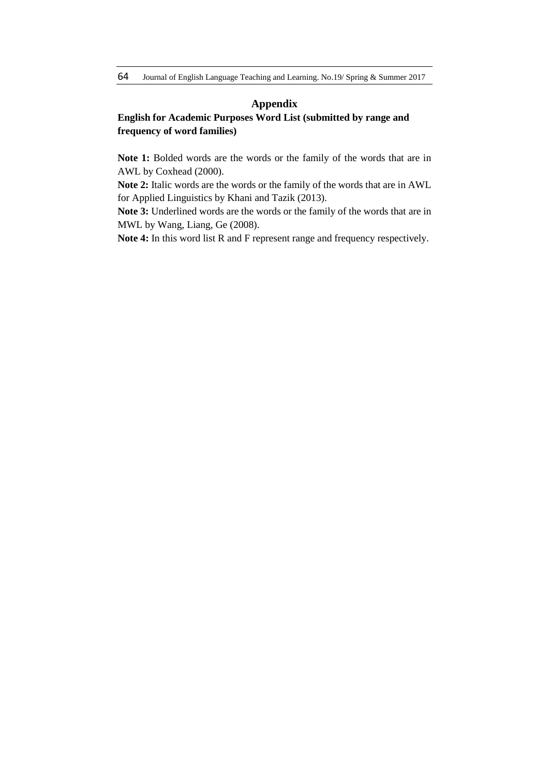### **Appendix**

# **English for Academic Purposes Word List (submitted by range and frequency of word families)**

**Note 1:** Bolded words are the words or the family of the words that are in AWL by Coxhead (2000).

**Note 2:** Italic words are the words or the family of the words that are in AWL for Applied Linguistics by Khani and Tazik (2013).

**Note 3:** Underlined words are the words or the family of the words that are in MWL by Wang, Liang, Ge (2008).

**Note 4:** In this word list R and F represent range and frequency respectively.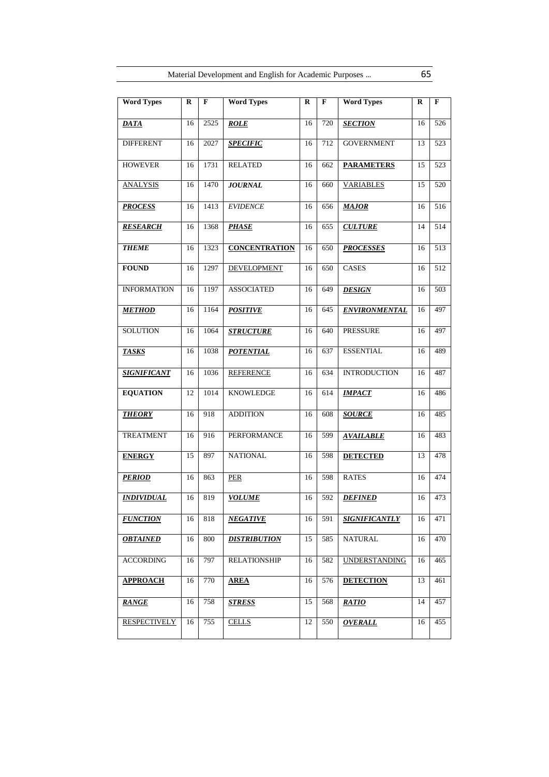| <b>Word Types</b>   | $\bf{R}$ | $\mathbf F$ | <b>Word Types</b>    | $\mathbf R$ | F   | <b>Word Types</b>    | $\bf{R}$ | $\mathbf{F}$ |
|---------------------|----------|-------------|----------------------|-------------|-----|----------------------|----------|--------------|
| <b>DATA</b>         | 16       | 2525        | <b>ROLE</b>          | 16          | 720 | <b>SECTION</b>       | 16       | 526          |
| <b>DIFFERENT</b>    | 16       | 2027        | <b>SPECIFIC</b>      | 16          | 712 | <b>GOVERNMENT</b>    | 13       | 523          |
| <b>HOWEVER</b>      | 16       | 1731        | <b>RELATED</b>       | 16          | 662 | <b>PARAMETERS</b>    | 15       | 523          |
| <b>ANALYSIS</b>     | 16       | 1470        | <b>JOURNAL</b>       | 16          | 660 | <b>VARIABLES</b>     | 15       | 520          |
| <b>PROCESS</b>      | 16       | 1413        | <b>EVIDENCE</b>      | 16          | 656 | <b>MAJOR</b>         | 16       | 516          |
| <b>RESEARCH</b>     | 16       | 1368        | <b>PHASE</b>         | 16          | 655 | <b>CULTURE</b>       | 14       | 514          |
| <b>THEME</b>        | 16       | 1323        | <b>CONCENTRATION</b> | 16          | 650 | <b>PROCESSES</b>     | 16       | 513          |
| <b>FOUND</b>        | 16       | 1297        | DEVELOPMENT          | 16          | 650 | <b>CASES</b>         | 16       | 512          |
| <b>INFORMATION</b>  | 16       | 1197        | <b>ASSOCIATED</b>    | 16          | 649 | <b>DESIGN</b>        | 16       | 503          |
| <b>METHOD</b>       | 16       | 1164        | <b>POSITIVE</b>      | 16          | 645 | <b>ENVIRONMENTAL</b> | 16       | 497          |
| <b>SOLUTION</b>     | 16       | 1064        | <b>STRUCTURE</b>     | 16          | 640 | <b>PRESSURE</b>      | 16       | 497          |
| <b>TASKS</b>        | 16       | 1038        | <b>POTENTIAL</b>     | 16          | 637 | <b>ESSENTIAL</b>     | 16       | 489          |
| <b>SIGNIFICANT</b>  | 16       | 1036        | <b>REFERENCE</b>     | 16          | 634 | <b>INTRODUCTION</b>  | 16       | 487          |
| <b>EQUATION</b>     | 12       | 1014        | <b>KNOWLEDGE</b>     | 16          | 614 | <b>IMPACT</b>        | 16       | 486          |
| <b>THEORY</b>       | 16       | 918         | <b>ADDITION</b>      | 16          | 608 | <b>SOURCE</b>        | 16       | 485          |
| <b>TREATMENT</b>    | 16       | 916         | PERFORMANCE          | 16          | 599 | <b>AVAILABLE</b>     | 16       | 483          |
| <b>ENERGY</b>       | 15       | 897         | <b>NATIONAL</b>      | 16          | 598 | <b>DETECTED</b>      | 13       | 478          |
| <b>PERIOD</b>       | 16       | 863         | PER                  | 16          | 598 | <b>RATES</b>         | 16       | 474          |
| <b>INDIVIDUAL</b>   | 16       | 819         | <b>VOLUME</b>        | 16          | 592 | <b>DEFINED</b>       | 16       | 473          |
| <b>FUNCTION</b>     | 16       | 818         | <b>NEGATIVE</b>      | 16          | 591 | <b>SIGNIFICANTLY</b> | 16       | 471          |
| <b>OBTAINED</b>     | 16       | 800         | <b>DISTRIBUTION</b>  | 15          | 585 | <b>NATURAL</b>       | 16       | 470          |
| <b>ACCORDING</b>    | 16       | 797         | <b>RELATIONSHIP</b>  | 16          | 582 | <b>UNDERSTANDING</b> | 16       | 465          |
| <b>APPROACH</b>     | 16       | 770         | <b>AREA</b>          | 16          | 576 | <b>DETECTION</b>     | 13       | 461          |
| <b>RANGE</b>        | 16       | 758         | <b>STRESS</b>        | 15          | 568 | <b>RATIO</b>         | 14       | 457          |
| <b>RESPECTIVELY</b> | 16       | 755         | <b>CELLS</b>         | 12          | 550 | <b>OVERALL</b>       | 16       | 455          |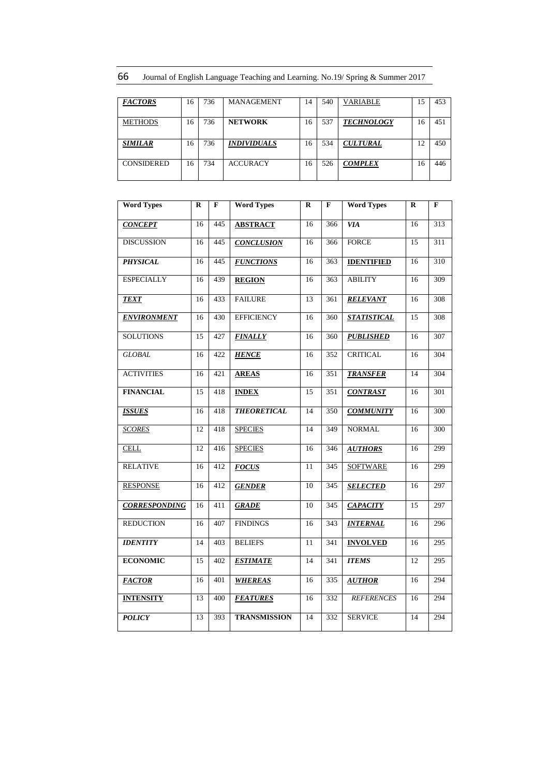66 Journal of English Language Teaching and Learning. No.19/ Spring & Summer 2017

| <b>FACTORS</b>    | 16 | 736 | <b>MANAGEMENT</b>         | 14 | 540 | <b>VARIABLE</b>   | 15 | 453 |
|-------------------|----|-----|---------------------------|----|-----|-------------------|----|-----|
|                   |    |     |                           |    |     |                   |    |     |
| <b>METHODS</b>    | 16 | 736 | <b>NETWORK</b>            | 16 | 537 | <b>TECHNOLOGY</b> | 16 | 451 |
|                   |    |     |                           |    |     |                   |    |     |
| <b>SIMILAR</b>    | 16 | 736 | <i><b>INDIVIDUALS</b></i> | 16 | 534 | <b>CULTURAL</b>   | 12 | 450 |
|                   |    |     |                           |    |     |                   |    |     |
| <b>CONSIDERED</b> | 16 | 734 | <b>ACCURACY</b>           | 16 | 526 | <b>COMPLEX</b>    | 16 | 446 |
|                   |    |     |                           |    |     |                   |    |     |
|                   |    |     |                           |    |     |                   |    |     |

| <b>Word Types</b>    | $\bf{R}$ | $\mathbf{F}$ | <b>Word Types</b>   | $\mathbf R$ | F   | <b>Word Types</b>  | $\mathbf R$     | F                |
|----------------------|----------|--------------|---------------------|-------------|-----|--------------------|-----------------|------------------|
| <b>CONCEPT</b>       | 16       | 445          | <b>ABSTRACT</b>     | 16          | 366 | <b>VIA</b>         | 16              | 313              |
| <b>DISCUSSION</b>    | 16       | 445          | <b>CONCLUSION</b>   | 16          | 366 | <b>FORCE</b>       | 15              | 311              |
| <b>PHYSICAL</b>      | 16       | 445          | <b>FUNCTIONS</b>    | 16          | 363 | <b>IDENTIFIED</b>  | 16              | $\overline{310}$ |
| <b>ESPECIALLY</b>    | 16       | 439          | <b>REGION</b>       | 16          | 363 | <b>ABILITY</b>     | 16              | 309              |
| <b>TEXT</b>          | 16       | 433          | <b>FAILURE</b>      | 13          | 361 | <b>RELEVANT</b>    | 16              | 308              |
| <b>ENVIRONMENT</b>   | 16       | 430          | <b>EFFICIENCY</b>   | 16          | 360 | <b>STATISTICAL</b> | $\overline{15}$ | 308              |
| <b>SOLUTIONS</b>     | 15       | 427          | <b>FINALLY</b>      | 16          | 360 | <b>PUBLISHED</b>   | 16              | 307              |
| <b>GLOBAL</b>        | 16       | 422          | <b>HENCE</b>        | 16          | 352 | <b>CRITICAL</b>    | 16              | 304              |
| <b>ACTIVITIES</b>    | 16       | 421          | <b>AREAS</b>        | 16          | 351 | <b>TRANSFER</b>    | 14              | 304              |
| <b>FINANCIAL</b>     | 15       | 418          | <b>INDEX</b>        | 15          | 351 | <b>CONTRAST</b>    | 16              | 301              |
| <b>ISSUES</b>        | 16       | 418          | <b>THEORETICAL</b>  | 14          | 350 | <b>COMMUNITY</b>   | 16              | 300              |
| <b>SCORES</b>        | 12       | 418          | <b>SPECIES</b>      | 14          | 349 | <b>NORMAL</b>      | 16              | 300              |
| <b>CELL</b>          | 12       | 416          | <b>SPECIES</b>      | 16          | 346 | <b>AUTHORS</b>     | 16              | 299              |
| <b>RELATIVE</b>      | 16       | 412          | <b>FOCUS</b>        | 11          | 345 | <b>SOFTWARE</b>    | 16              | 299              |
| <b>RESPONSE</b>      | 16       | 412          | <b>GENDER</b>       | 10          | 345 | <b>SELECTED</b>    | 16              | 297              |
| <b>CORRESPONDING</b> | 16       | 411          | <b>GRADE</b>        | 10          | 345 | <b>CAPACITY</b>    | 15              | 297              |
| <b>REDUCTION</b>     | 16       | 407          | <b>FINDINGS</b>     | 16          | 343 | <b>INTERNAL</b>    | 16              | 296              |
| <b>IDENTITY</b>      | 14       | 403          | <b>BELIEFS</b>      | 11          | 341 | <b>INVOLVED</b>    | 16              | 295              |
| <b>ECONOMIC</b>      | 15       | 402          | <b>ESTIMATE</b>     | 14          | 341 | <b>ITEMS</b>       | 12              | 295              |
| <b>FACTOR</b>        | 16       | 401          | <b>WHEREAS</b>      | 16          | 335 | <b>AUTHOR</b>      | 16              | 294              |
| <b>INTENSITY</b>     | 13       | 400          | <b>FEATURES</b>     | 16          | 332 | <b>REFERENCES</b>  | 16              | 294              |
| <b>POLICY</b>        | 13       | 393          | <b>TRANSMISSION</b> | 14          | 332 | <b>SERVICE</b>     | 14              | 294              |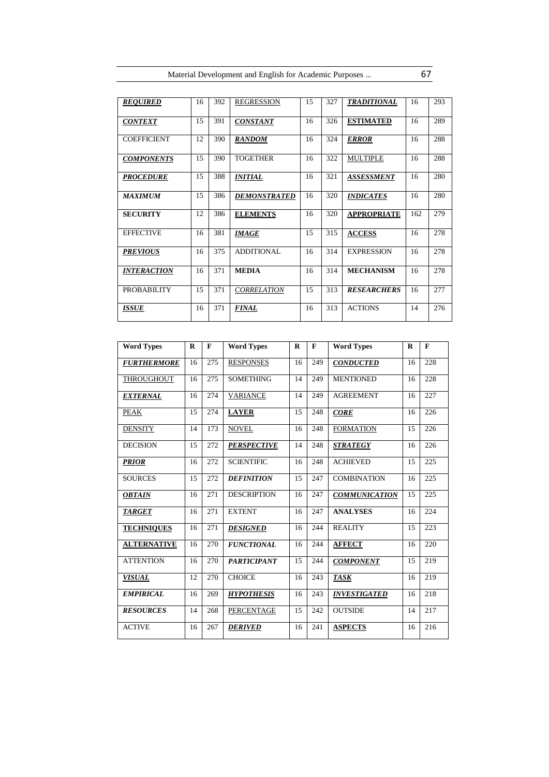| <b>REQUIRED</b>           | 16 | 392 | <b>REGRESSION</b>      | 15 | 327 | <b>TRADITIONAL</b>  | 16  | 293 |
|---------------------------|----|-----|------------------------|----|-----|---------------------|-----|-----|
| <b>CONTEXT</b>            | 15 | 391 | <i><b>CONSTANT</b></i> | 16 | 326 | <b>ESTIMATED</b>    | 16  | 289 |
| <b>COEFFICIENT</b>        | 12 | 390 | <b>RANDOM</b>          | 16 | 324 | <i><b>ERROR</b></i> | 16  | 288 |
| <b>COMPONENTS</b>         | 15 | 390 | <b>TOGETHER</b>        | 16 | 322 | <b>MULTIPLE</b>     | 16  | 288 |
| <b>PROCEDURE</b>          | 15 | 388 | <b>INITIAL</b>         | 16 | 321 | <b>ASSESSMENT</b>   | 16  | 280 |
| <b>MAXIMUM</b>            | 15 | 386 | <b>DEMONSTRATED</b>    | 16 | 320 | <b>INDICATES</b>    | 16  | 280 |
| <b>SECURITY</b>           | 12 | 386 | <b>ELEMENTS</b>        | 16 | 320 | <b>APPROPRIATE</b>  | 162 | 279 |
| <b>EFFECTIVE</b>          | 16 | 381 | <b>IMAGE</b>           | 15 | 315 | <b>ACCESS</b>       | 16  | 278 |
| <b>PREVIOUS</b>           | 16 | 375 | <b>ADDITIONAL</b>      | 16 | 314 | <b>EXPRESSION</b>   | 16  | 278 |
| <i><b>INTERACTION</b></i> | 16 | 371 | <b>MEDIA</b>           | 16 | 314 | <b>MECHANISM</b>    | 16  | 278 |
| PROBABILITY               | 15 | 371 | <b>CORRELATION</b>     | 15 | 313 | <b>RESEARCHERS</b>  | 16  | 277 |
| ISSUE                     | 16 | 371 | <b>FINAL</b>           | 16 | 313 | <b>ACTIONS</b>      | 14  | 276 |

| <b>Word Types</b>      | $\bf{R}$ | $\mathbf{F}$ | <b>Word Types</b>  | $\bf{R}$ | F   | <b>Word Types</b>    | $\bf{R}$ | F   |
|------------------------|----------|--------------|--------------------|----------|-----|----------------------|----------|-----|
| <b>FURTHERMORE</b>     | 16       | 275          | <b>RESPONSES</b>   | 16       | 249 | <b>CONDUCTED</b>     | 16       | 228 |
| THROUGHOUT             | 16       | 275          | <b>SOMETHING</b>   | 14       | 249 | <b>MENTIONED</b>     | 16       | 228 |
| <i><b>EXTERNAL</b></i> | 16       | 274          | <b>VARIANCE</b>    | 14       | 249 | <b>AGREEMENT</b>     | 16       | 227 |
| <b>PEAK</b>            | 15       | 274          | <b>LAYER</b>       | 15       | 248 | <b>CORE</b>          | 16       | 226 |
| <b>DENSITY</b>         | 14       | 173          | <b>NOVEL</b>       | 16       | 248 | <b>FORMATION</b>     | 15       | 226 |
| <b>DECISION</b>        | 15       | 272          | <b>PERSPECTIVE</b> | 14       | 248 | <b>STRATEGY</b>      | 16       | 226 |
| <b>PRIOR</b>           | 16       | 272          | <b>SCIENTIFIC</b>  | 16       | 248 | <b>ACHIEVED</b>      | 15       | 225 |
| <b>SOURCES</b>         | 15       | 272          | <b>DEFINITION</b>  | 15       | 247 | <b>COMBINATION</b>   | 16       | 225 |
| <b>OBTAIN</b>          | 16       | 271          | <b>DESCRIPTION</b> | 16       | 247 | <b>COMMUNICATION</b> | 15       | 225 |
| <b>TARGET</b>          | 16       | 271          | <b>EXTENT</b>      | 16       | 247 | <b>ANALYSES</b>      | 16       | 224 |
| <b>TECHNIQUES</b>      | 16       | 271          | <b>DESIGNED</b>    | 16       | 244 | <b>REALITY</b>       | 15       | 223 |
| <b>ALTERNATIVE</b>     | 16       | 270          | <b>FUNCTIONAL</b>  | 16       | 244 | <b>AFFECT</b>        | 16       | 220 |
| <b>ATTENTION</b>       | 16       | 270          | <b>PARTICIPANT</b> | 15       | 244 | <b>COMPONENT</b>     | 15       | 219 |
| <b>VISUAL</b>          | 12       | 270          | <b>CHOICE</b>      | 16       | 243 | <b>TASK</b>          | 16       | 219 |
| <b>EMPIRICAL</b>       | 16       | 269          | <b>HYPOTHESIS</b>  | 16       | 243 | <b>INVESTIGATED</b>  | 16       | 218 |
| <b>RESOURCES</b>       | 14       | 268          | PERCENTAGE         | 15       | 242 | <b>OUTSIDE</b>       | 14       | 217 |
| <b>ACTIVE</b>          | 16       | 267          | <b>DERIVED</b>     | 16       | 241 | <b>ASPECTS</b>       | 16       | 216 |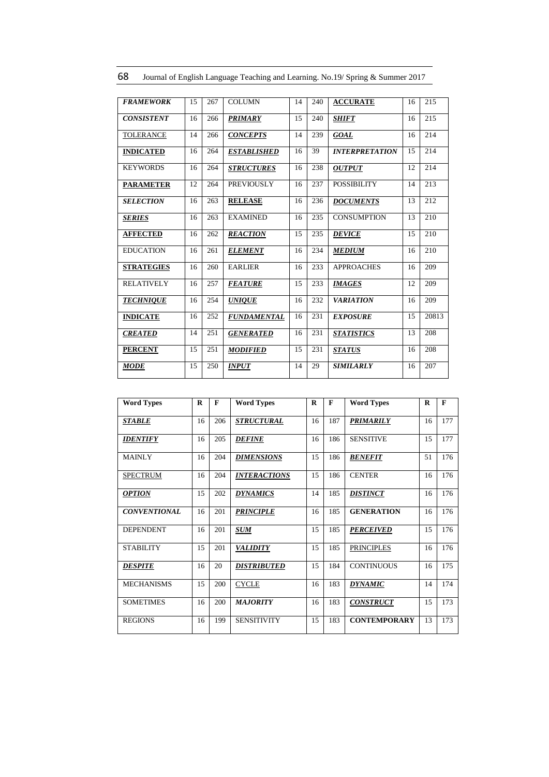| <b>FRAMEWORK</b>     | 15 | 267 | <b>COLUMN</b>             | 14 | 240 | <b>ACCURATE</b>       | 16 | 215   |
|----------------------|----|-----|---------------------------|----|-----|-----------------------|----|-------|
| <b>CONSISTENT</b>    | 16 | 266 | <b>PRIMARY</b>            | 15 | 240 | <b>SHIFT</b>          | 16 | 215   |
| TOLERANCE            | 14 | 266 | <b>CONCEPTS</b>           | 14 | 239 | <b>GOAL</b>           | 16 | 214   |
| <b>INDICATED</b>     | 16 | 264 | <i><b>ESTABLISHED</b></i> | 16 | 39  | <b>INTERPRETATION</b> | 15 | 214   |
| <b>KEYWORDS</b>      | 16 | 264 | <b>STRUCTURES</b>         | 16 | 238 | <b>OUTPUT</b>         | 12 | 214   |
| <b>PARAMETER</b>     | 12 | 264 | <b>PREVIOUSLY</b>         | 16 | 237 | <b>POSSIBILITY</b>    | 14 | 213   |
| <b>SELECTION</b>     | 16 | 263 | <b>RELEASE</b>            | 16 | 236 | <b>DOCUMENTS</b>      | 13 | 212   |
| <i><b>SERIES</b></i> | 16 | 263 | <b>EXAMINED</b>           | 16 | 235 | <b>CONSUMPTION</b>    | 13 | 210   |
| <b>AFFECTED</b>      | 16 | 262 | <b>REACTION</b>           | 15 | 235 | <b>DEVICE</b>         | 15 | 210   |
| <b>EDUCATION</b>     | 16 | 261 | <b>ELEMENT</b>            | 16 | 234 | <b>MEDIUM</b>         | 16 | 210   |
| <b>STRATEGIES</b>    | 16 | 260 | <b>EARLIER</b>            | 16 | 233 | <b>APPROACHES</b>     | 16 | 209   |
| <b>RELATIVELY</b>    | 16 | 257 | <b>FEATURE</b>            | 15 | 233 | <b>IMAGES</b>         | 12 | 209   |
| <b>TECHNIQUE</b>     | 16 | 254 | <b>UNIQUE</b>             | 16 | 232 | <b>VARIATION</b>      | 16 | 209   |
| <b>INDICATE</b>      | 16 | 252 | <b>FUNDAMENTAL</b>        | 16 | 231 | <b>EXPOSURE</b>       | 15 | 20813 |
| <b>CREATED</b>       | 14 | 251 | <b>GENERATED</b>          | 16 | 231 | <b>STATISTICS</b>     | 13 | 208   |
| <b>PERCENT</b>       | 15 | 251 | <b>MODIFIED</b>           | 15 | 231 | <i><b>STATUS</b></i>  | 16 | 208   |
| MODE                 | 15 | 250 | <i><b>INPUT</b></i>       | 14 | 29  | <b>SIMILARLY</b>      | 16 | 207   |

68 Journal of English Language Teaching and Learning. No.19/ Spring & Summer 2017

| <b>Word Types</b>   | R  | $\mathbf{F}$ | <b>Word Types</b>          | R  | F   | <b>Word Types</b>   | R  | $\mathbf{F}$ |
|---------------------|----|--------------|----------------------------|----|-----|---------------------|----|--------------|
| <b>STABLE</b>       | 16 | 206          | <b>STRUCTURAL</b>          | 16 | 187 | <b>PRIMARILY</b>    | 16 | 177          |
| <b>IDENTIFY</b>     | 16 | 205          | <b>DEFINE</b>              | 16 | 186 | <b>SENSITIVE</b>    | 15 | 177          |
| <b>MAINLY</b>       | 16 | 204          | <b>DIMENSIONS</b>          | 15 | 186 | <b>BENEFIT</b>      | 51 | 176          |
| <b>SPECTRUM</b>     | 16 | 204          | <i><b>INTERACTIONS</b></i> | 15 | 186 | <b>CENTER</b>       | 16 | 176          |
| <b>OPTION</b>       | 15 | 202          | <b>DYNAMICS</b>            | 14 | 185 | <b>DISTINCT</b>     | 16 | 176          |
| <b>CONVENTIONAL</b> | 16 | 201          | <b>PRINCIPLE</b>           | 16 | 185 | <b>GENERATION</b>   | 16 | 176          |
| <b>DEPENDENT</b>    | 16 | 201          | <b>SUM</b>                 | 15 | 185 | <b>PERCEIVED</b>    | 15 | 176          |
| <b>STABILITY</b>    | 15 | 201          | <b>VALIDITY</b>            | 15 | 185 | <b>PRINCIPLES</b>   | 16 | 176          |
| <b>DESPITE</b>      | 16 | 20           | <b>DISTRIBUTED</b>         | 15 | 184 | <b>CONTINUOUS</b>   | 16 | 175          |
| <b>MECHANISMS</b>   | 15 | 200          | <b>CYCLE</b>               | 16 | 183 | <b>DYNAMIC</b>      | 14 | 174          |
| <b>SOMETIMES</b>    | 16 | 200          | <b>MAJORITY</b>            | 16 | 183 | <b>CONSTRUCT</b>    | 15 | 173          |
| <b>REGIONS</b>      | 16 | 199          | <b>SENSITIVITY</b>         | 15 | 183 | <b>CONTEMPORARY</b> | 13 | 173          |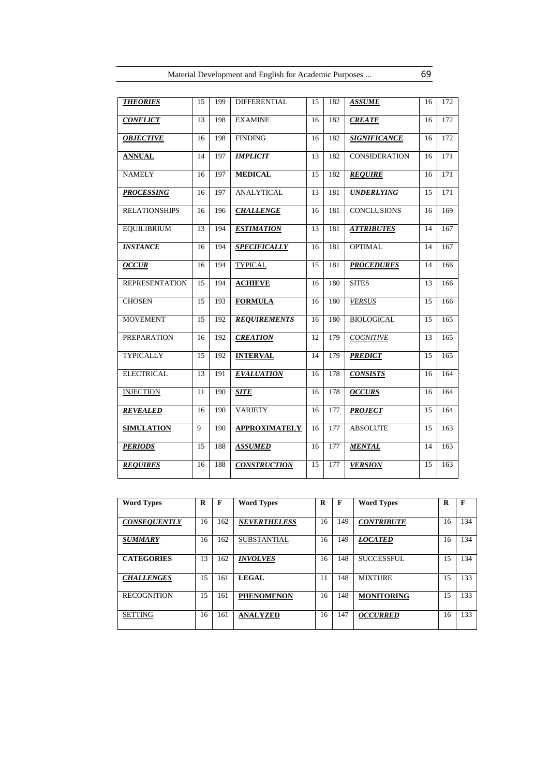| <b>THEORIES</b>       | 15              | 199 | <b>DIFFERENTIAL</b>  | 15              | 182 | <b>ASSUME</b>        | 16 | 172              |
|-----------------------|-----------------|-----|----------------------|-----------------|-----|----------------------|----|------------------|
| <b>CONFLICT</b>       | 13              | 198 | <b>EXAMINE</b>       | 16              | 182 | <b>CREATE</b>        | 16 | $\overline{172}$ |
| <b>OBJECTIVE</b>      | 16              | 198 | <b>FINDING</b>       | 16              | 182 | <b>SIGNIFICANCE</b>  | 16 | 172              |
| <b>ANNUAL</b>         | 14              | 197 | <b>IMPLICIT</b>      | 13              | 182 | <b>CONSIDERATION</b> | 16 | 171              |
| <b>NAMELY</b>         | 16              | 197 | <b>MEDICAL</b>       | $\overline{15}$ | 182 | <b>REQUIRE</b>       | 16 | $\overline{171}$ |
| <b>PROCESSING</b>     | 16              | 197 | <b>ANALYTICAL</b>    | 13              | 181 | <b>UNDERLYING</b>    | 15 | 171              |
| <b>RELATIONSHIPS</b>  | 16              | 196 | <b>CHALLENGE</b>     | 16              | 181 | <b>CONCLUSIONS</b>   | 16 | 169              |
| <b>EQUILIBRIUM</b>    | 13              | 194 | <b>ESTIMATION</b>    | 13              | 181 | <b>ATTRIBUTES</b>    | 14 | 167              |
| <b>INSTANCE</b>       | 16              | 194 | <b>SPECIFICALLY</b>  | 16              | 181 | <b>OPTIMAL</b>       | 14 | $\overline{167}$ |
| <b>OCCUR</b>          | 16              | 194 | <b>TYPICAL</b>       | 15              | 181 | <b>PROCEDURES</b>    | 14 | 166              |
| <b>REPRESENTATION</b> | 15              | 194 | <b>ACHIEVE</b>       | 16              | 180 | <b>SITES</b>         | 13 | 166              |
| <b>CHOSEN</b>         | 15              | 193 | <b>FORMULA</b>       | 16              | 180 | <b>VERSUS</b>        | 15 | 166              |
| <b>MOVEMENT</b>       | 15              | 192 | <b>REQUIREMENTS</b>  | 16              | 180 | <b>BIOLOGICAL</b>    | 15 | 165              |
| <b>PREPARATION</b>    | 16              | 192 | <b>CREATION</b>      | 12              | 179 | <b>COGNITIVE</b>     | 13 | 165              |
| <b>TYPICALLY</b>      | $\overline{15}$ | 192 | <b>INTERVAL</b>      | 14              | 179 | <b>PREDICT</b>       | 15 | $\overline{165}$ |
| <b>ELECTRICAL</b>     | 13              | 191 | <b>EVALUATION</b>    | 16              | 178 | <b>CONSISTS</b>      | 16 | 164              |
| <b>INJECTION</b>      | 11              | 190 | <b>SITE</b>          | 16              | 178 | <b>OCCURS</b>        | 16 | 164              |
| <b>REVEALED</b>       | 16              | 190 | <b>VARIETY</b>       | 16              | 177 | <b>PROJECT</b>       | 15 | 164              |
| <b>SIMULATION</b>     | $\overline{9}$  | 190 | <b>APPROXIMATELY</b> | 16              | 177 | <b>ABSOLUTE</b>      | 15 | 163              |
| <b>PERIODS</b>        | 15              | 188 | <b>ASSUMED</b>       | 16              | 177 | <b>MENTAL</b>        | 14 | 163              |
| <b>REQUIRES</b>       | 16              | 188 | <b>CONSTRUCTION</b>  | 15              | 177 | <b>VERSION</b>       | 15 | 163              |

| <b>Word Types</b>   | R  | F   | <b>Word Types</b>   | R  | F   | <b>Word Types</b> | R  | F   |
|---------------------|----|-----|---------------------|----|-----|-------------------|----|-----|
| <b>CONSEQUENTLY</b> | 16 | 162 | <b>NEVERTHELESS</b> | 16 | 149 | <b>CONTRIBUTE</b> | 16 | 134 |
| <b>SUMMARY</b>      | 16 | 162 | <b>SUBSTANTIAL</b>  | 16 | 149 | <b>LOCATED</b>    | 16 | 134 |
| <b>CATEGORIES</b>   | 13 | 162 | <b>INVOLVES</b>     | 16 | 148 | <b>SUCCESSFUL</b> | 15 | 134 |
| <b>CHALLENGES</b>   | 15 | 161 | <b>LEGAL</b>        | 11 | 148 | <b>MIXTURE</b>    | 15 | 133 |
| <b>RECOGNITION</b>  | 15 | 161 | <b>PHENOMENON</b>   | 16 | 148 | <b>MONITORING</b> | 15 | 133 |
| <b>SETTING</b>      | 16 | 161 | <b>ANALYZED</b>     | 16 | 147 | <b>OCCURRED</b>   | 16 | 133 |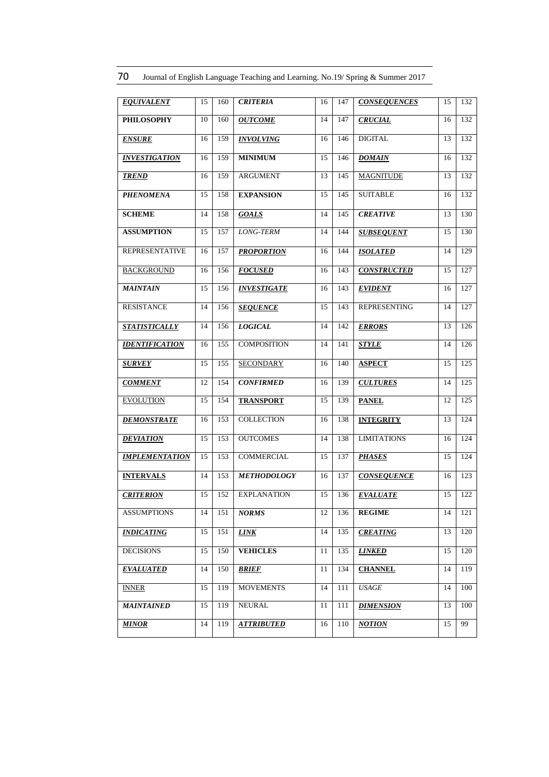| 70<br>Journal of English Language Teaching and Learning. No.19/ Spring & Summer 2017 |  |
|--------------------------------------------------------------------------------------|--|
|--------------------------------------------------------------------------------------|--|

| <b>EQUIVALENT</b>     | 15 | 160 | <b>CRITERIA</b>    | 16 | 147 | <b>CONSEQUENCES</b> | 15 | 132 |
|-----------------------|----|-----|--------------------|----|-----|---------------------|----|-----|
| <b>PHILOSOPHY</b>     | 10 | 160 | <b>OUTCOME</b>     | 14 | 147 | <b>CRUCIAL</b>      | 16 | 132 |
| <b>ENSURE</b>         | 16 | 159 | <b>INVOLVING</b>   | 16 | 146 | <b>DIGITAL</b>      | 13 | 132 |
| <b>INVESTIGATION</b>  | 16 | 159 | <b>MINIMUM</b>     | 15 | 146 | <b>DOMAIN</b>       | 16 | 132 |
| <b>TREND</b>          | 16 | 159 | <b>ARGUMENT</b>    | 13 | 145 | <b>MAGNITUDE</b>    | 13 | 132 |
| <b>PHENOMENA</b>      | 15 | 158 | <b>EXPANSION</b>   | 15 | 145 | <b>SUITABLE</b>     | 16 | 132 |
| <b>SCHEME</b>         | 14 | 158 | <b>GOALS</b>       | 14 | 145 | <b>CREATIVE</b>     | 13 | 130 |
| <b>ASSUMPTION</b>     | 15 | 157 | LONG-TERM          | 14 | 144 | <b>SUBSEQUENT</b>   | 15 | 130 |
| <b>REPRESENTATIVE</b> | 16 | 157 | <b>PROPORTION</b>  | 16 | 144 | <b>ISOLATED</b>     | 14 | 129 |
| <b>BACKGROUND</b>     | 16 | 156 | <b>FOCUSED</b>     | 16 | 143 | <b>CONSTRUCTED</b>  | 15 | 127 |
| <b>MAINTAIN</b>       | 15 | 156 | <b>INVESTIGATE</b> | 16 | 143 | <b>EVIDENT</b>      | 16 | 127 |
| <b>RESISTANCE</b>     | 14 | 156 | <b>SEQUENCE</b>    | 15 | 143 | <b>REPRESENTING</b> | 14 | 127 |
| <b>STATISTICALLY</b>  | 14 | 156 | <b>LOGICAL</b>     | 14 | 142 | <b>ERRORS</b>       | 13 | 126 |
| <b>IDENTIFICATION</b> | 16 | 155 | <b>COMPOSITION</b> | 14 | 141 | <b>STYLE</b>        | 14 | 126 |
| <b>SURVEY</b>         | 15 | 155 | <b>SECONDARY</b>   | 16 | 140 | <b>ASPECT</b>       | 15 | 125 |
| <b>COMMENT</b>        | 12 | 154 | <b>CONFIRMED</b>   | 16 | 139 | <b>CULTURES</b>     | 14 | 125 |
| <b>EVOLUTION</b>      | 15 | 154 | <b>TRANSPORT</b>   | 15 | 139 | <b>PANEL</b>        | 12 | 125 |
| <b>DEMONSTRATE</b>    | 16 | 153 | <b>COLLECTION</b>  | 16 | 138 | <b>INTEGRITY</b>    | 13 | 124 |
| <b>DEVIATION</b>      | 15 | 153 | <b>OUTCOMES</b>    | 14 | 138 | <b>LIMITATIONS</b>  | 16 | 124 |
| <b>IMPLEMENTATION</b> | 15 | 153 | COMMERCIAL         | 15 | 137 | <b>PHASES</b>       | 15 | 124 |
| <b>INTERVALS</b>      | 14 | 153 | <b>METHODOLOGY</b> | 16 | 137 | <b>CONSEQUENCE</b>  | 16 | 123 |
| <b>CRITERION</b>      | 15 | 152 | <b>EXPLANATION</b> | 15 | 136 | <b>EVALUATE</b>     | 15 | 122 |
| <b>ASSUMPTIONS</b>    | 14 | 151 | NORMS              | 12 | 136 | <b>REGIME</b>       | 14 | 121 |
| <b>INDICATING</b>     | 15 | 151 | <b>LINK</b>        | 14 | 135 | <b>CREATING</b>     | 13 | 120 |
| <b>DECISIONS</b>      | 15 | 150 | <b>VEHICLES</b>    | 11 | 135 | <b>LINKED</b>       | 15 | 120 |
| <b>EVALUATED</b>      | 14 | 150 | BRIEF              | 11 | 134 | <b>CHANNEL</b>      | 14 | 119 |
| <b>INNER</b>          | 15 | 119 | <b>MOVEMENTS</b>   | 14 | 111 | $\it{USAGE}$        | 14 | 100 |
| <b>MAINTAINED</b>     | 15 | 119 | <b>NEURAL</b>      | 11 | 111 | <b>DIMENSION</b>    | 13 | 100 |
| <b>MINOR</b>          | 14 | 119 | <b>ATTRIBUTED</b>  | 16 | 110 | <b>NOTION</b>       | 15 | 99  |
|                       |    |     |                    |    |     |                     |    |     |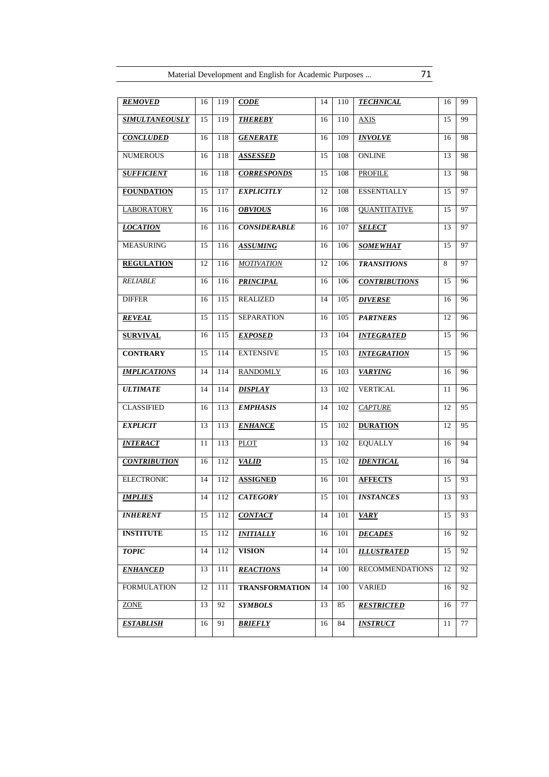| <b>REMOVED</b>        | 16 | 119 | <b>CODE</b>           | 14 | 110 | <b>TECHNICAL</b>       | 16 | 99 |
|-----------------------|----|-----|-----------------------|----|-----|------------------------|----|----|
| <b>SIMULTANEOUSLY</b> | 15 | 119 | <b>THEREBY</b>        | 16 | 110 | <b>AXIS</b>            | 15 | 99 |
| <b>CONCLUDED</b>      | 16 | 118 | <b>GENERATE</b>       | 16 | 109 | <b>INVOLVE</b>         | 16 | 98 |
| <b>NUMEROUS</b>       | 16 | 118 | <b>ASSESSED</b>       | 15 | 108 | <b>ONLINE</b>          | 13 | 98 |
| <b>SUFFICIENT</b>     | 16 | 118 | <b>CORRESPONDS</b>    | 15 | 108 | <b>PROFILE</b>         | 13 | 98 |
| <b>FOUNDATION</b>     | 15 | 117 | <b>EXPLICITLY</b>     | 12 | 108 | <b>ESSENTIALLY</b>     | 15 | 97 |
| <b>LABORATORY</b>     | 16 | 116 | <b>OBVIOUS</b>        | 16 | 108 | <b>QUANTITATIVE</b>    | 15 | 97 |
| <b>LOCATION</b>       | 16 | 116 | <b>CONSIDERABLE</b>   | 16 | 107 | <b>SELECT</b>          | 13 | 97 |
| <b>MEASURING</b>      | 15 | 116 | <b>ASSUMING</b>       | 16 | 106 | <b>SOMEWHAT</b>        | 15 | 97 |
| <b>REGULATION</b>     | 12 | 116 | <b>MOTIVATION</b>     | 12 | 106 | <b>TRANSITIONS</b>     | 8  | 97 |
| <b>RELIABLE</b>       | 16 | 116 | <b>PRINCIPAL</b>      | 16 | 106 | <b>CONTRIBUTIONS</b>   | 15 | 96 |
| <b>DIFFER</b>         | 16 | 115 | <b>REALIZED</b>       | 14 | 105 | <b>DIVERSE</b>         | 16 | 96 |
| <b>REVEAL</b>         | 15 | 115 | <b>SEPARATION</b>     | 16 | 105 | <b>PARTNERS</b>        | 12 | 96 |
| <b>SURVIVAL</b>       | 16 | 115 | <b>EXPOSED</b>        | 13 | 104 | <b>INTEGRATED</b>      | 15 | 96 |
| <b>CONTRARY</b>       | 15 | 114 | <b>EXTENSIVE</b>      | 15 | 103 | <b>INTEGRATION</b>     | 15 | 96 |
| <b>IMPLICATIONS</b>   | 14 | 114 | <b>RANDOMLY</b>       | 16 | 103 | <b>VARYING</b>         | 16 | 96 |
| <b>ULTIMATE</b>       | 14 | 114 | <b>DISPLAY</b>        | 13 | 102 | <b>VERTICAL</b>        | 11 | 96 |
| <b>CLASSIFIED</b>     | 16 | 113 | <b>EMPHASIS</b>       | 14 | 102 | <b>CAPTURE</b>         | 12 | 95 |
| <b>EXPLICIT</b>       | 13 | 113 | <b>ENHANCE</b>        | 15 | 102 | <b>DURATION</b>        | 12 | 95 |
| <b>INTERACT</b>       | 11 | 113 | <b>PLOT</b>           | 13 | 102 | <b>EQUALLY</b>         | 16 | 94 |
| <b>CONTRIBUTION</b>   | 16 | 112 | <b>VALID</b>          | 15 | 102 | <b>IDENTICAL</b>       | 16 | 94 |
| <b>ELECTRONIC</b>     | 14 | 112 | <b>ASSIGNED</b>       | 16 | 101 | <b>AFFECTS</b>         | 15 | 93 |
| <b>IMPLIES</b>        | 14 | 112 | <b>CATEGORY</b>       | 15 | 101 | <b>INSTANCES</b>       | 13 | 93 |
| <b>INHERENT</b>       | 15 | 112 | <b>CONTACT</b>        | 14 | 101 | <b>VARY</b>            | 15 | 93 |
| <b>INSTITUTE</b>      | 15 | 112 | <b>INITIALLY</b>      | 16 | 101 | <b>DECADES</b>         | 16 | 92 |
| <b>TOPIC</b>          | 14 | 112 | <b>VISION</b>         | 14 | 101 | <b>ILLUSTRATED</b>     | 15 | 92 |
| <b>ENHANCED</b>       | 13 | 111 | <b>REACTIONS</b>      | 14 | 100 | <b>RECOMMENDATIONS</b> | 12 | 92 |
| <b>FORMULATION</b>    | 12 | 111 | <b>TRANSFORMATION</b> | 14 | 100 | <b>VARIED</b>          | 16 | 92 |
| <b>ZONE</b>           | 13 | 92  | <b>SYMBOLS</b>        | 13 | 85  | <b>RESTRICTED</b>      | 16 | 77 |
| <b>ESTABLISH</b>      | 16 | 91  | <b>BRIEFLY</b>        | 16 | 84  | <b>INSTRUCT</b>        | 11 | 77 |